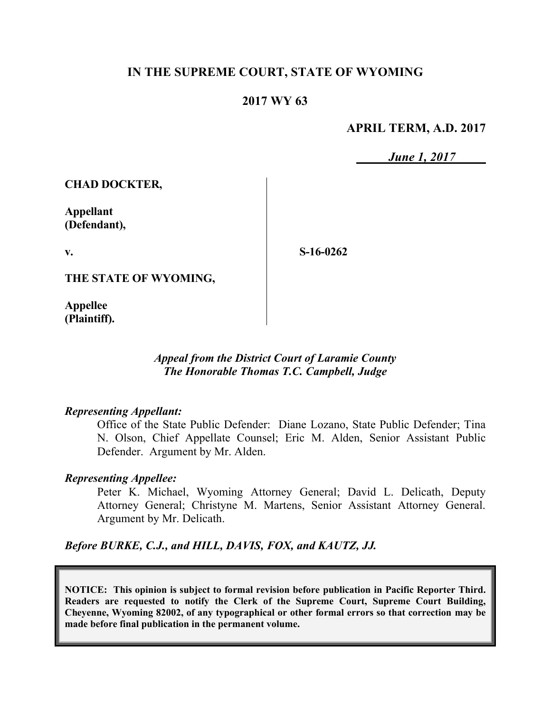# **IN THE SUPREME COURT, STATE OF WYOMING**

# **2017 WY 63**

## **APRIL TERM, A.D. 2017**

*June 1, 2017*

**CHAD DOCKTER,**

**Appellant (Defendant),**

**v.**

**S-16-0262**

**THE STATE OF WYOMING,**

**Appellee (Plaintiff).**

## *Appeal from the District Court of Laramie County The Honorable Thomas T.C. Campbell, Judge*

## *Representing Appellant:*

Office of the State Public Defender: Diane Lozano, State Public Defender; Tina N. Olson, Chief Appellate Counsel; Eric M. Alden, Senior Assistant Public Defender. Argument by Mr. Alden.

## *Representing Appellee:*

Peter K. Michael, Wyoming Attorney General; David L. Delicath, Deputy Attorney General; Christyne M. Martens, Senior Assistant Attorney General. Argument by Mr. Delicath.

*Before BURKE, C.J., and HILL, DAVIS, FOX, and KAUTZ, JJ.*

**NOTICE: This opinion is subject to formal revision before publication in Pacific Reporter Third. Readers are requested to notify the Clerk of the Supreme Court, Supreme Court Building, Cheyenne, Wyoming 82002, of any typographical or other formal errors so that correction may be made before final publication in the permanent volume.**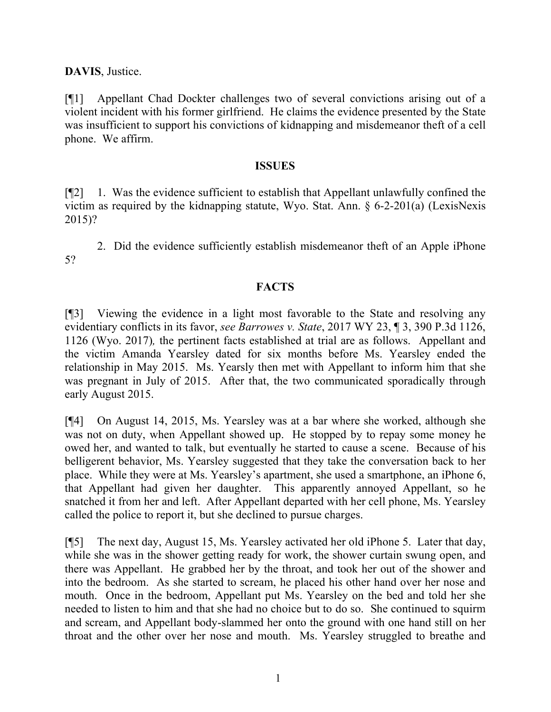**DAVIS**, Justice.

[¶1] Appellant Chad Dockter challenges two of several convictions arising out of a violent incident with his former girlfriend. He claims the evidence presented by the State was insufficient to support his convictions of kidnapping and misdemeanor theft of a cell phone. We affirm.

#### **ISSUES**

[¶2] 1. Was the evidence sufficient to establish that Appellant unlawfully confined the victim as required by the kidnapping statute, Wyo. Stat. Ann. § 6-2-201(a) (LexisNexis 2015)?

2. Did the evidence sufficiently establish misdemeanor theft of an Apple iPhone 5?

## **FACTS**

[¶3] Viewing the evidence in a light most favorable to the State and resolving any evidentiary conflicts in its favor, *see Barrowes v. State*, 2017 WY 23, ¶ 3, 390 P.3d 1126, 1126 (Wyo. 2017)*,* the pertinent facts established at trial are as follows. Appellant and the victim Amanda Yearsley dated for six months before Ms. Yearsley ended the relationship in May 2015. Ms. Yearsly then met with Appellant to inform him that she was pregnant in July of 2015. After that, the two communicated sporadically through early August 2015.

[¶4] On August 14, 2015, Ms. Yearsley was at a bar where she worked, although she was not on duty, when Appellant showed up. He stopped by to repay some money he owed her, and wanted to talk, but eventually he started to cause a scene. Because of his belligerent behavior, Ms. Yearsley suggested that they take the conversation back to her place. While they were at Ms. Yearsley's apartment, she used a smartphone, an iPhone 6, that Appellant had given her daughter. This apparently annoyed Appellant, so he snatched it from her and left. After Appellant departed with her cell phone, Ms. Yearsley called the police to report it, but she declined to pursue charges.

[¶5] The next day, August 15, Ms. Yearsley activated her old iPhone 5. Later that day, while she was in the shower getting ready for work, the shower curtain swung open, and there was Appellant. He grabbed her by the throat, and took her out of the shower and into the bedroom. As she started to scream, he placed his other hand over her nose and mouth. Once in the bedroom, Appellant put Ms. Yearsley on the bed and told her she needed to listen to him and that she had no choice but to do so. She continued to squirm and scream, and Appellant body-slammed her onto the ground with one hand still on her throat and the other over her nose and mouth. Ms. Yearsley struggled to breathe and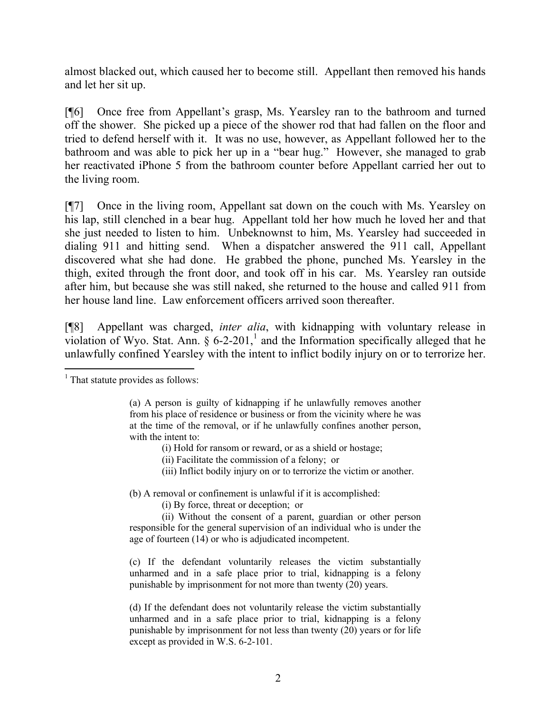almost blacked out, which caused her to become still. Appellant then removed his hands and let her sit up.

[¶6] Once free from Appellant's grasp, Ms. Yearsley ran to the bathroom and turned off the shower. She picked up a piece of the shower rod that had fallen on the floor and tried to defend herself with it. It was no use, however, as Appellant followed her to the bathroom and was able to pick her up in a "bear hug." However, she managed to grab her reactivated iPhone 5 from the bathroom counter before Appellant carried her out to the living room.

[¶7] Once in the living room, Appellant sat down on the couch with Ms. Yearsley on his lap, still clenched in a bear hug. Appellant told her how much he loved her and that she just needed to listen to him. Unbeknownst to him, Ms. Yearsley had succeeded in dialing 911 and hitting send. When a dispatcher answered the 911 call, Appellant discovered what she had done. He grabbed the phone, punched Ms. Yearsley in the thigh, exited through the front door, and took off in his car. Ms. Yearsley ran outside after him, but because she was still naked, she returned to the house and called 911 from her house land line. Law enforcement officers arrived soon thereafter.

[¶8] Appellant was charged, *inter alia*, with kidnapping with voluntary release in violation of Wyo. Stat. Ann.  $\S 6$ -2-201,<sup>1</sup> and the Information specifically alleged that he unlawfully confined Yearsley with the intent to inflict bodily injury on or to terrorize her.

- (i) Hold for ransom or reward, or as a shield or hostage;
- (ii) Facilitate the commission of a felony; or
- (iii) Inflict bodily injury on or to terrorize the victim or another.

(b) A removal or confinement is unlawful if it is accomplished:

(i) By force, threat or deception; or

(ii) Without the consent of a parent, guardian or other person responsible for the general supervision of an individual who is under the age of fourteen (14) or who is adjudicated incompetent.

(c) If the defendant voluntarily releases the victim substantially unharmed and in a safe place prior to trial, kidnapping is a felony punishable by imprisonment for not more than twenty (20) years.

(d) If the defendant does not voluntarily release the victim substantially unharmed and in a safe place prior to trial, kidnapping is a felony punishable by imprisonment for not less than twenty (20) years or for life except as provided in W.S. 6-2-101.

l  $<sup>1</sup>$  That statute provides as follows:</sup>

<sup>(</sup>a) A person is guilty of kidnapping if he unlawfully removes another from his place of residence or business or from the vicinity where he was at the time of the removal, or if he unlawfully confines another person, with the intent to: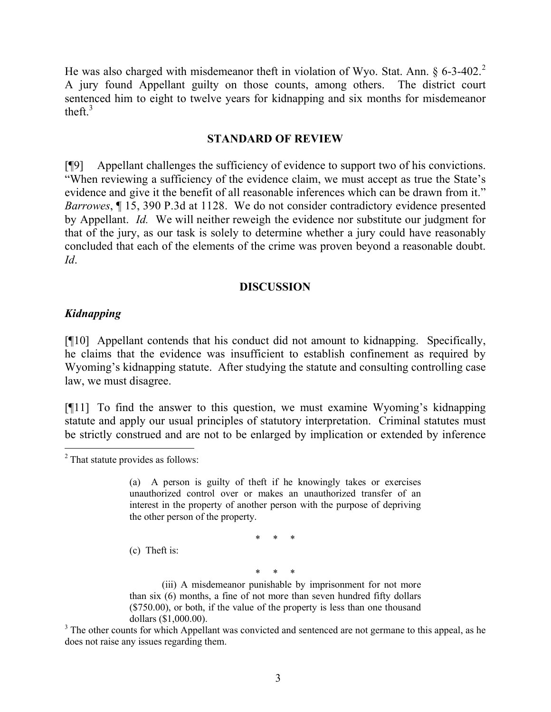He was also charged with misdemeanor theft in violation of Wyo. Stat. Ann.  $\S 6-3-402$ .<sup>2</sup> A jury found Appellant guilty on those counts, among others. The district court sentenced him to eight to twelve years for kidnapping and six months for misdemeanor theft. $3$ 

#### **STANDARD OF REVIEW**

[¶9] Appellant challenges the sufficiency of evidence to support two of his convictions. "When reviewing a sufficiency of the evidence claim, we must accept as true the State's evidence and give it the benefit of all reasonable inferences which can be drawn from it." *Barrowes*, ¶ 15, 390 P.3d at 1128. We do not consider contradictory evidence presented by Appellant. *Id.* We will neither reweigh the evidence nor substitute our judgment for that of the jury, as our task is solely to determine whether a jury could have reasonably concluded that each of the elements of the crime was proven beyond a reasonable doubt. *Id*.

#### **DISCUSSION**

#### *Kidnapping*

 $\overline{a}$ 

[¶10] Appellant contends that his conduct did not amount to kidnapping. Specifically, he claims that the evidence was insufficient to establish confinement as required by Wyoming's kidnapping statute. After studying the statute and consulting controlling case law, we must disagree.

[¶11] To find the answer to this question, we must examine Wyoming's kidnapping statute and apply our usual principles of statutory interpretation. Criminal statutes must be strictly construed and are not to be enlarged by implication or extended by inference

\* \* \*

(c) Theft is:

\* \* \*

(iii) A misdemeanor punishable by imprisonment for not more than six (6) months, a fine of not more than seven hundred fifty dollars (\$750.00), or both, if the value of the property is less than one thousand dollars (\$1,000.00).

<sup>3</sup> The other counts for which Appellant was convicted and sentenced are not germane to this appeal, as he does not raise any issues regarding them.

<sup>2</sup> That statute provides as follows:

<sup>(</sup>a) A person is guilty of theft if he knowingly takes or exercises unauthorized control over or makes an unauthorized transfer of an interest in the property of another person with the purpose of depriving the other person of the property.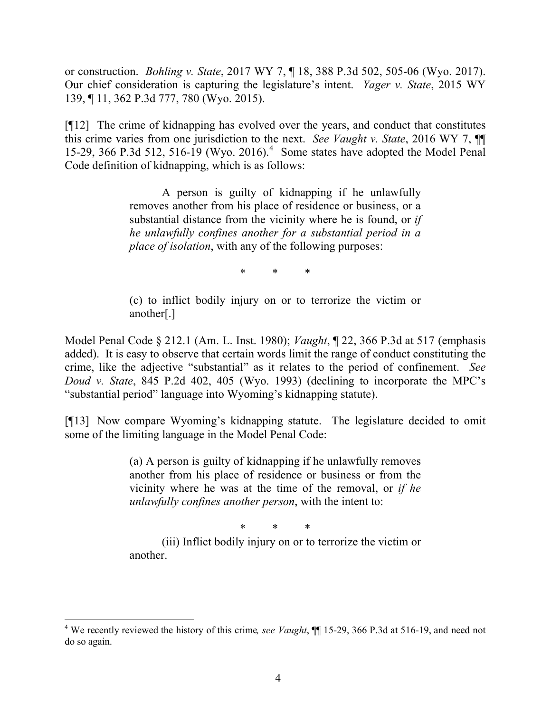or construction. *Bohling v. State*, 2017 WY 7, ¶ 18, 388 P.3d 502, 505-06 (Wyo. 2017). Our chief consideration is capturing the legislature's intent. *Yager v. State*, 2015 WY 139, ¶ 11, 362 P.3d 777, 780 (Wyo. 2015).

[¶12] The crime of kidnapping has evolved over the years, and conduct that constitutes this crime varies from one jurisdiction to the next. *See Vaught v. State*, 2016 WY 7, ¶¶ 15-29, 366 P.3d 512, 516-19 (Wyo. 2016).<sup>4</sup> Some states have adopted the Model Penal Code definition of kidnapping, which is as follows:

> A person is guilty of kidnapping if he unlawfully removes another from his place of residence or business, or a substantial distance from the vicinity where he is found, or *if he unlawfully confines another for a substantial period in a place of isolation*, with any of the following purposes:

> > \* \* \*

(c) to inflict bodily injury on or to terrorize the victim or another[.]

Model Penal Code § 212.1 (Am. L. Inst. 1980); *Vaught*, ¶ 22, 366 P.3d at 517 (emphasis added). It is easy to observe that certain words limit the range of conduct constituting the crime, like the adjective "substantial" as it relates to the period of confinement. *See Doud v. State*, 845 P.2d 402, 405 (Wyo. 1993) (declining to incorporate the MPC's "substantial period" language into Wyoming's kidnapping statute).

[¶13] Now compare Wyoming's kidnapping statute. The legislature decided to omit some of the limiting language in the Model Penal Code:

> (a) A person is guilty of kidnapping if he unlawfully removes another from his place of residence or business or from the vicinity where he was at the time of the removal, or *if he unlawfully confines another person*, with the intent to:

> > \* \* \*

(iii) Inflict bodily injury on or to terrorize the victim or another.

<sup>&</sup>lt;sup>4</sup> We recently reviewed the history of this crime, see Vaught,  $\P$  15-29, 366 P.3d at 516-19, and need not do so again.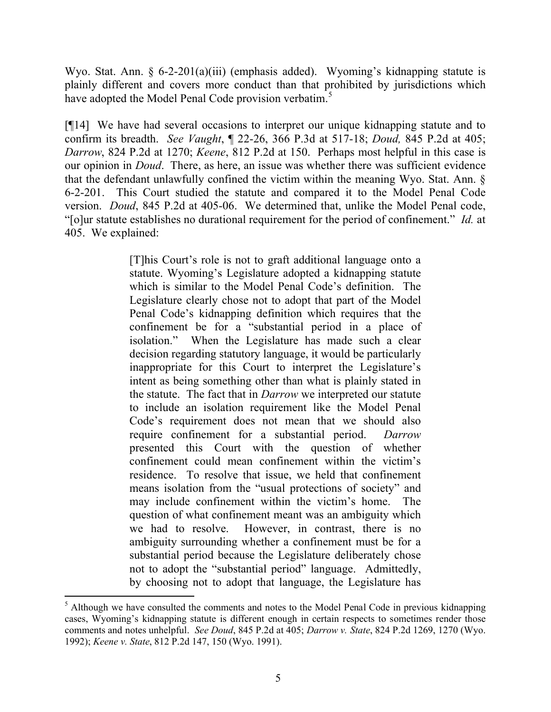Wyo. Stat. Ann. § 6-2-201(a)(iii) (emphasis added). Wyoming's kidnapping statute is plainly different and covers more conduct than that prohibited by jurisdictions which have adopted the Model Penal Code provision verbatim.<sup>5</sup>

[¶14] We have had several occasions to interpret our unique kidnapping statute and to confirm its breadth. *See Vaught*, ¶ 22-26, 366 P.3d at 517-18; *Doud,* 845 P.2d at 405; *Darrow*, 824 P.2d at 1270; *Keene*, 812 P.2d at 150. Perhaps most helpful in this case is our opinion in *Doud*. There, as here, an issue was whether there was sufficient evidence that the defendant unlawfully confined the victim within the meaning Wyo. Stat. Ann. § 6-2-201. This Court studied the statute and compared it to the Model Penal Code version. *Doud*, 845 P.2d at 405-06. We determined that, unlike the Model Penal code, "[o]ur statute establishes no durational requirement for the period of confinement." *Id.* at 405. We explained:

> [T]his Court's role is not to graft additional language onto a statute. Wyoming's Legislature adopted a kidnapping statute which is similar to the Model Penal Code's definition. The Legislature clearly chose not to adopt that part of the Model Penal Code's kidnapping definition which requires that the confinement be for a "substantial period in a place of isolation." When the Legislature has made such a clear decision regarding statutory language, it would be particularly inappropriate for this Court to interpret the Legislature's intent as being something other than what is plainly stated in the statute. The fact that in *Darrow* we interpreted our statute to include an isolation requirement like the Model Penal Code's requirement does not mean that we should also require confinement for a substantial period. *Darrow* presented this Court with the question of whether confinement could mean confinement within the victim's residence. To resolve that issue, we held that confinement means isolation from the "usual protections of society" and may include confinement within the victim's home. The question of what confinement meant was an ambiguity which we had to resolve. However, in contrast, there is no ambiguity surrounding whether a confinement must be for a substantial period because the Legislature deliberately chose not to adopt the "substantial period" language. Admittedly, by choosing not to adopt that language, the Legislature has

l

 $<sup>5</sup>$  Although we have consulted the comments and notes to the Model Penal Code in previous kidnapping</sup> cases, Wyoming's kidnapping statute is different enough in certain respects to sometimes render those comments and notes unhelpful. *See Doud*, 845 P.2d at 405; *Darrow v. State*, 824 P.2d 1269, 1270 (Wyo. 1992); *Keene v. State*, 812 P.2d 147, 150 (Wyo. 1991).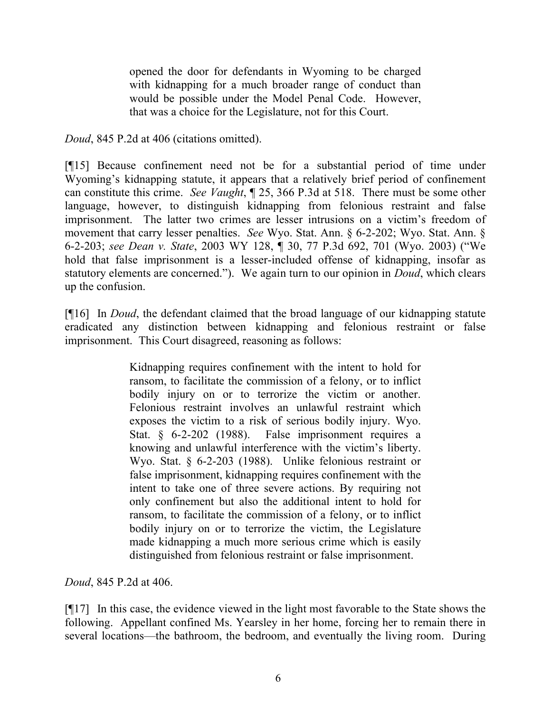opened the door for defendants in Wyoming to be charged with kidnapping for a much broader range of conduct than would be possible under the Model Penal Code. However, that was a choice for the Legislature, not for this Court.

*Doud*, 845 P.2d at 406 (citations omitted).

[¶15] Because confinement need not be for a substantial period of time under Wyoming's kidnapping statute, it appears that a relatively brief period of confinement can constitute this crime. *See Vaught*, ¶ 25, 366 P.3d at 518. There must be some other language, however, to distinguish kidnapping from felonious restraint and false imprisonment. The latter two crimes are lesser intrusions on a victim's freedom of movement that carry lesser penalties. *See* Wyo. Stat. Ann. § 6-2-202; Wyo. Stat. Ann. § 6-2-203; *see Dean v. State*, 2003 WY 128, ¶ 30, 77 P.3d 692, 701 (Wyo. 2003) ("We hold that false imprisonment is a lesser-included offense of kidnapping, insofar as statutory elements are concerned."). We again turn to our opinion in *Doud*, which clears up the confusion.

[¶16] In *Doud*, the defendant claimed that the broad language of our kidnapping statute eradicated any distinction between kidnapping and felonious restraint or false imprisonment. This Court disagreed, reasoning as follows:

> Kidnapping requires confinement with the intent to hold for ransom, to facilitate the commission of a felony, or to inflict bodily injury on or to terrorize the victim or another. Felonious restraint involves an unlawful restraint which exposes the victim to a risk of serious bodily injury. Wyo. Stat. § 6-2-202 (1988). False imprisonment requires a knowing and unlawful interference with the victim's liberty. Wyo. Stat. § 6-2-203 (1988). Unlike felonious restraint or false imprisonment, kidnapping requires confinement with the intent to take one of three severe actions. By requiring not only confinement but also the additional intent to hold for ransom, to facilitate the commission of a felony, or to inflict bodily injury on or to terrorize the victim, the Legislature made kidnapping a much more serious crime which is easily distinguished from felonious restraint or false imprisonment.

*Doud*, 845 P.2d at 406.

[¶17] In this case, the evidence viewed in the light most favorable to the State shows the following. Appellant confined Ms. Yearsley in her home, forcing her to remain there in several locations—the bathroom, the bedroom, and eventually the living room. During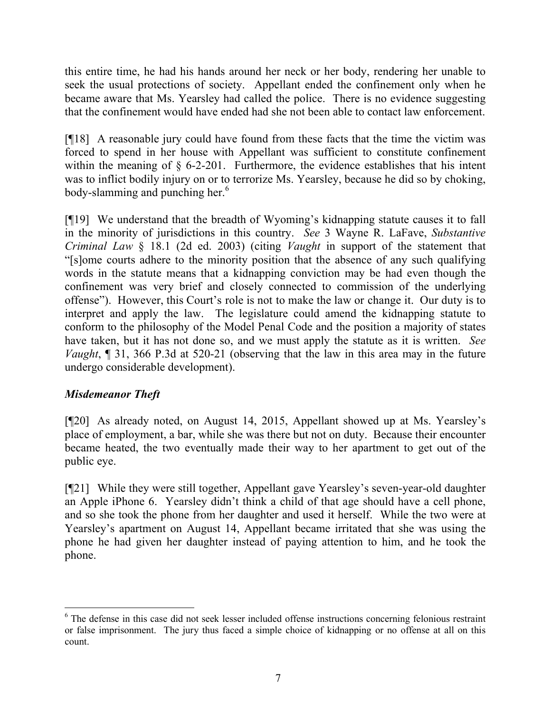this entire time, he had his hands around her neck or her body, rendering her unable to seek the usual protections of society. Appellant ended the confinement only when he became aware that Ms. Yearsley had called the police. There is no evidence suggesting that the confinement would have ended had she not been able to contact law enforcement.

[¶18] A reasonable jury could have found from these facts that the time the victim was forced to spend in her house with Appellant was sufficient to constitute confinement within the meaning of  $\S$  6-2-201. Furthermore, the evidence establishes that his intent was to inflict bodily injury on or to terrorize Ms. Yearsley, because he did so by choking, body-slamming and punching her.<sup>6</sup>

[¶19] We understand that the breadth of Wyoming's kidnapping statute causes it to fall in the minority of jurisdictions in this country. *See* 3 Wayne R. LaFave, *Substantive Criminal Law* § 18.1 (2d ed. 2003) (citing *Vaught* in support of the statement that "[s]ome courts adhere to the minority position that the absence of any such qualifying words in the statute means that a kidnapping conviction may be had even though the confinement was very brief and closely connected to commission of the underlying offense"). However, this Court's role is not to make the law or change it. Our duty is to interpret and apply the law. The legislature could amend the kidnapping statute to conform to the philosophy of the Model Penal Code and the position a majority of states have taken, but it has not done so, and we must apply the statute as it is written. *See Vaught*, ¶ 31, 366 P.3d at 520-21 (observing that the law in this area may in the future undergo considerable development).

# *Misdemeanor Theft*

l

[¶20] As already noted, on August 14, 2015, Appellant showed up at Ms. Yearsley's place of employment, a bar, while she was there but not on duty. Because their encounter became heated, the two eventually made their way to her apartment to get out of the public eye.

[¶21] While they were still together, Appellant gave Yearsley's seven-year-old daughter an Apple iPhone 6. Yearsley didn't think a child of that age should have a cell phone, and so she took the phone from her daughter and used it herself. While the two were at Yearsley's apartment on August 14, Appellant became irritated that she was using the phone he had given her daughter instead of paying attention to him, and he took the phone.

<sup>&</sup>lt;sup>6</sup> The defense in this case did not seek lesser included offense instructions concerning felonious restraint or false imprisonment. The jury thus faced a simple choice of kidnapping or no offense at all on this count.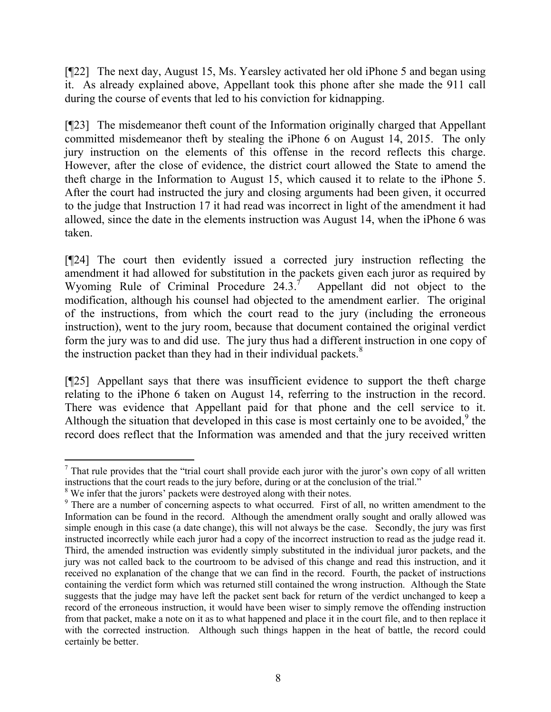[¶22] The next day, August 15, Ms. Yearsley activated her old iPhone 5 and began using it. As already explained above, Appellant took this phone after she made the 911 call during the course of events that led to his conviction for kidnapping.

[¶23] The misdemeanor theft count of the Information originally charged that Appellant committed misdemeanor theft by stealing the iPhone 6 on August 14, 2015. The only jury instruction on the elements of this offense in the record reflects this charge. However, after the close of evidence, the district court allowed the State to amend the theft charge in the Information to August 15, which caused it to relate to the iPhone 5. After the court had instructed the jury and closing arguments had been given, it occurred to the judge that Instruction 17 it had read was incorrect in light of the amendment it had allowed, since the date in the elements instruction was August 14, when the iPhone 6 was taken.

[¶24] The court then evidently issued a corrected jury instruction reflecting the amendment it had allowed for substitution in the packets given each juror as required by Wyoming Rule of Criminal Procedure  $24.3$ <sup>7</sup> Appellant did not object to the modification, although his counsel had objected to the amendment earlier. The original of the instructions, from which the court read to the jury (including the erroneous instruction), went to the jury room, because that document contained the original verdict form the jury was to and did use. The jury thus had a different instruction in one copy of the instruction packet than they had in their individual packets. $8$ 

[¶25] Appellant says that there was insufficient evidence to support the theft charge relating to the iPhone 6 taken on August 14, referring to the instruction in the record. There was evidence that Appellant paid for that phone and the cell service to it. Although the situation that developed in this case is most certainly one to be avoided, $9$  the record does reflect that the Information was amended and that the jury received written

 $\overline{a}$  $<sup>7</sup>$  That rule provides that the "trial court shall provide each juror with the juror's own copy of all written</sup> instructions that the court reads to the jury before, during or at the conclusion of the trial."

<sup>&</sup>lt;sup>8</sup> We infer that the jurors' packets were destroyed along with their notes.

<sup>&</sup>lt;sup>9</sup> There are a number of concerning aspects to what occurred. First of all, no written amendment to the Information can be found in the record. Although the amendment orally sought and orally allowed was simple enough in this case (a date change), this will not always be the case. Secondly, the jury was first instructed incorrectly while each juror had a copy of the incorrect instruction to read as the judge read it. Third, the amended instruction was evidently simply substituted in the individual juror packets, and the jury was not called back to the courtroom to be advised of this change and read this instruction, and it received no explanation of the change that we can find in the record. Fourth, the packet of instructions containing the verdict form which was returned still contained the wrong instruction. Although the State suggests that the judge may have left the packet sent back for return of the verdict unchanged to keep a record of the erroneous instruction, it would have been wiser to simply remove the offending instruction from that packet, make a note on it as to what happened and place it in the court file, and to then replace it with the corrected instruction. Although such things happen in the heat of battle, the record could certainly be better.